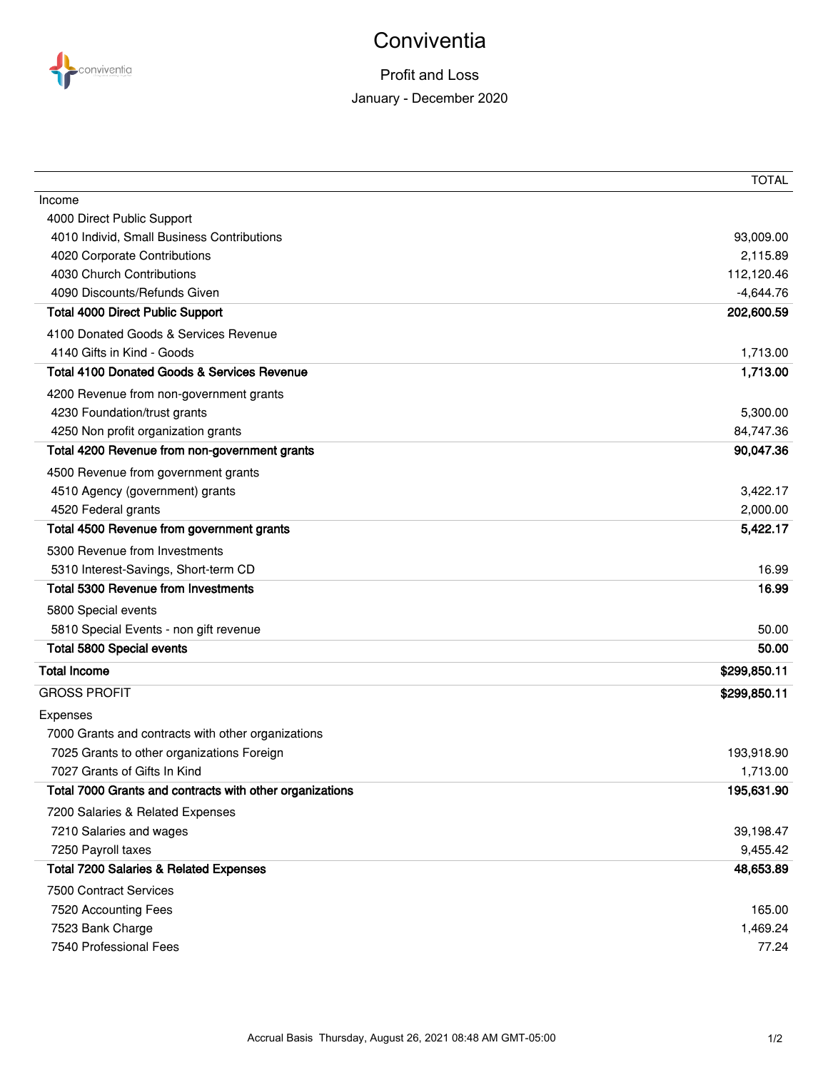

## **Conviventia**

## Profit and Loss January - December 2020

|                                                          | <b>TOTAL</b> |
|----------------------------------------------------------|--------------|
| Income                                                   |              |
| 4000 Direct Public Support                               |              |
| 4010 Individ, Small Business Contributions               | 93,009.00    |
| 4020 Corporate Contributions                             | 2,115.89     |
| 4030 Church Contributions                                | 112,120.46   |
| 4090 Discounts/Refunds Given                             | $-4,644.76$  |
| <b>Total 4000 Direct Public Support</b>                  | 202,600.59   |
| 4100 Donated Goods & Services Revenue                    |              |
| 4140 Gifts in Kind - Goods                               | 1,713.00     |
| <b>Total 4100 Donated Goods &amp; Services Revenue</b>   | 1,713.00     |
| 4200 Revenue from non-government grants                  |              |
| 4230 Foundation/trust grants                             | 5,300.00     |
| 4250 Non profit organization grants                      | 84,747.36    |
| Total 4200 Revenue from non-government grants            | 90,047.36    |
| 4500 Revenue from government grants                      |              |
| 4510 Agency (government) grants                          | 3,422.17     |
| 4520 Federal grants                                      | 2,000.00     |
| Total 4500 Revenue from government grants                | 5,422.17     |
| 5300 Revenue from Investments                            |              |
| 5310 Interest-Savings, Short-term CD                     | 16.99        |
| <b>Total 5300 Revenue from Investments</b>               | 16.99        |
| 5800 Special events                                      |              |
| 5810 Special Events - non gift revenue                   | 50.00        |
| Total 5800 Special events                                | 50.00        |
| <b>Total Income</b>                                      | \$299,850.11 |
| <b>GROSS PROFIT</b>                                      | \$299,850.11 |
| Expenses                                                 |              |
| 7000 Grants and contracts with other organizations       |              |
| 7025 Grants to other organizations Foreign               | 193,918.90   |
| 7027 Grants of Gifts In Kind                             | 1,713.00     |
| Total 7000 Grants and contracts with other organizations | 195,631.90   |
| 7200 Salaries & Related Expenses                         |              |
| 7210 Salaries and wages                                  | 39,198.47    |
| 7250 Payroll taxes                                       | 9,455.42     |
| <b>Total 7200 Salaries &amp; Related Expenses</b>        | 48,653.89    |
| 7500 Contract Services                                   |              |
| 7520 Accounting Fees                                     | 165.00       |
| 7523 Bank Charge                                         | 1,469.24     |
| 7540 Professional Fees                                   | 77.24        |